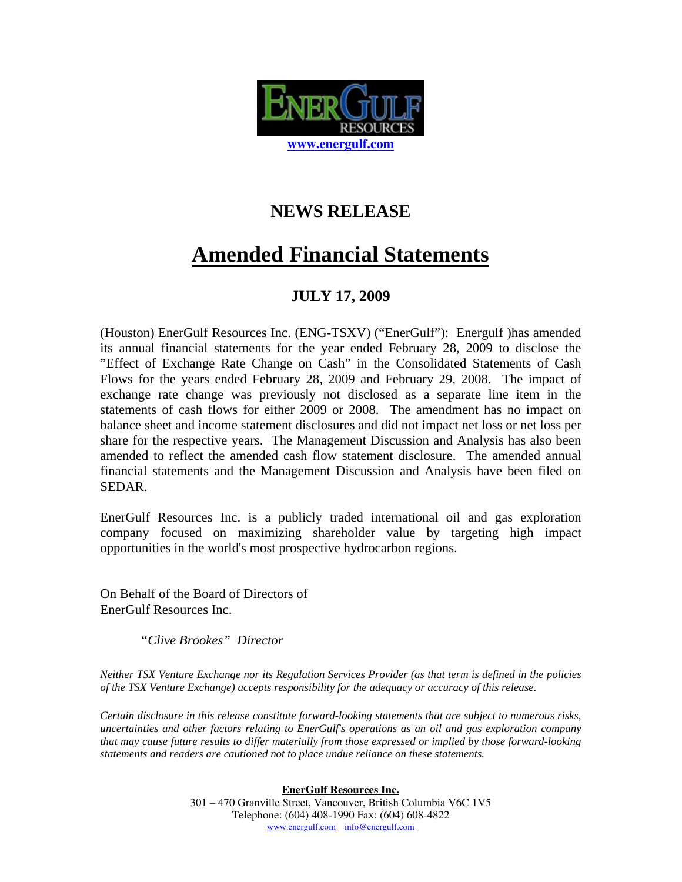

## **NEWS RELEASE**

## **Amended Financial Statements**

## **JULY 17, 2009**

(Houston) EnerGulf Resources Inc. (ENG-TSXV) ("EnerGulf"): Energulf )has amended its annual financial statements for the year ended February 28, 2009 to disclose the "Effect of Exchange Rate Change on Cash" in the Consolidated Statements of Cash Flows for the years ended February 28, 2009 and February 29, 2008. The impact of exchange rate change was previously not disclosed as a separate line item in the statements of cash flows for either 2009 or 2008. The amendment has no impact on balance sheet and income statement disclosures and did not impact net loss or net loss per share for the respective years. The Management Discussion and Analysis has also been amended to reflect the amended cash flow statement disclosure. The amended annual financial statements and the Management Discussion and Analysis have been filed on SEDAR.

EnerGulf Resources Inc. is a publicly traded international oil and gas exploration company focused on maximizing shareholder value by targeting high impact opportunities in the world's most prospective hydrocarbon regions.

On Behalf of the Board of Directors of EnerGulf Resources Inc.

*"Clive Brookes" Director*

*Neither TSX Venture Exchange nor its Regulation Services Provider (as that term is defined in the policies of the TSX Venture Exchange) accepts responsibility for the adequacy or accuracy of this release.* 

*Certain disclosure in this release constitute forward-looking statements that are subject to numerous risks, uncertainties and other factors relating to EnerGulf's operations as an oil and gas exploration company that may cause future results to differ materially from those expressed or implied by those forward-looking statements and readers are cautioned not to place undue reliance on these statements.* 

> **EnerGulf Resources Inc.** 301 – 470 Granville Street, Vancouver, British Columbia V6C 1V5 Telephone: (604) 408-1990 Fax: (604) 608-4822 www.energulf.com info@energulf.com